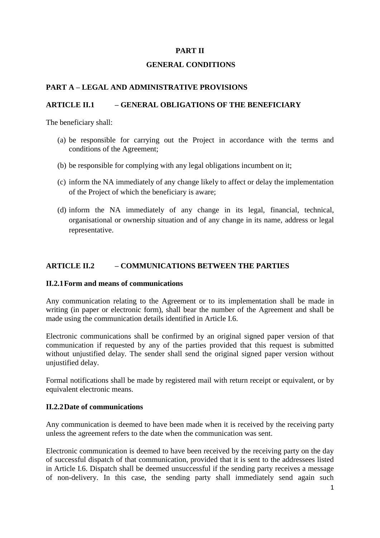# **PART II**

### **GENERAL CONDITIONS**

## **PART A – LEGAL AND ADMINISTRATIVE PROVISIONS**

### **ARTICLE II.1 – GENERAL OBLIGATIONS OF THE BENEFICIARY**

The beneficiary shall:

- (a) be responsible for carrying out the Project in accordance with the terms and conditions of the Agreement;
- (b) be responsible for complying with any legal obligations incumbent on it;
- (c) inform the NA immediately of any change likely to affect or delay the implementation of the Project of which the beneficiary is aware;
- (d) inform the NA immediately of any change in its legal, financial, technical, organisational or ownership situation and of any change in its name, address or legal representative.

## **ARTICLE II.2 – COMMUNICATIONS BETWEEN THE PARTIES**

### **II.2.1Form and means of communications**

Any communication relating to the Agreement or to its implementation shall be made in writing (in paper or electronic form), shall bear the number of the Agreement and shall be made using the communication details identified in Article I.6.

Electronic communications shall be confirmed by an original signed paper version of that communication if requested by any of the parties provided that this request is submitted without unjustified delay. The sender shall send the original signed paper version without unjustified delay.

Formal notifications shall be made by registered mail with return receipt or equivalent, or by equivalent electronic means.

### **II.2.2Date of communications**

Any communication is deemed to have been made when it is received by the receiving party unless the agreement refers to the date when the communication was sent.

Electronic communication is deemed to have been received by the receiving party on the day of successful dispatch of that communication, provided that it is sent to the addressees listed in Article I.6. Dispatch shall be deemed unsuccessful if the sending party receives a message of non-delivery. In this case, the sending party shall immediately send again such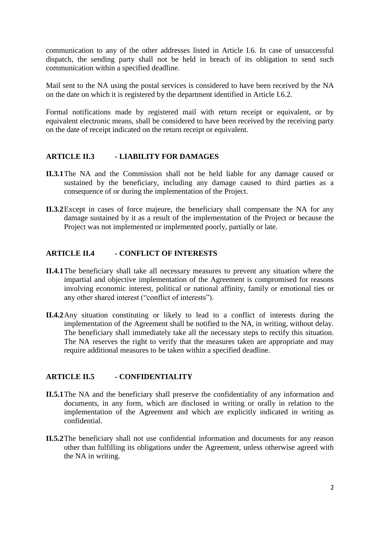communication to any of the other addresses listed in Article I.6. In case of unsuccessful dispatch, the sending party shall not be held in breach of its obligation to send such communication within a specified deadline.

Mail sent to the NA using the postal services is considered to have been received by the NA on the date on which it is registered by the department identified in Article I.6.2.

Formal notifications made by registered mail with return receipt or equivalent, or by equivalent electronic means, shall be considered to have been received by the receiving party on the date of receipt indicated on the return receipt or equivalent.

### **ARTICLE II.3 - LIABILITY FOR DAMAGES**

- **II.3.1**The NA and the Commission shall not be held liable for any damage caused or sustained by the beneficiary, including any damage caused to third parties as a consequence of or during the implementation of the Project.
- **II.3.2**Except in cases of force majeure, the beneficiary shall compensate the NA for any damage sustained by it as a result of the implementation of the Project or because the Project was not implemented or implemented poorly, partially or late.

### **ARTICLE II.4 - CONFLICT OF INTERESTS**

- **II.4.1**The beneficiary shall take all necessary measures to prevent any situation where the impartial and objective implementation of the Agreement is compromised for reasons involving economic interest, political or national affinity, family or emotional ties or any other shared interest ("conflict of interests").
- **II.4.2**Any situation constituting or likely to lead to a conflict of interests during the implementation of the Agreement shall be notified to the NA, in writing, without delay. The beneficiary shall immediately take all the necessary steps to rectify this situation. The NA reserves the right to verify that the measures taken are appropriate and may require additional measures to be taken within a specified deadline.

### **ARTICLE II.5 - CONFIDENTIALITY**

- **II.5.1**The NA and the beneficiary shall preserve the confidentiality of any information and documents, in any form, which are disclosed in writing or orally in relation to the implementation of the Agreement and which are explicitly indicated in writing as confidential.
- **II.5.2**The beneficiary shall not use confidential information and documents for any reason other than fulfilling its obligations under the Agreement, unless otherwise agreed with the NA in writing.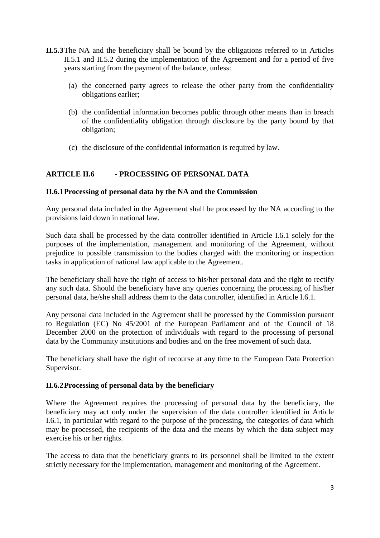- **II.5.3**The NA and the beneficiary shall be bound by the obligations referred to in Articles II.5.1 and II.5.2 during the implementation of the Agreement and for a period of five years starting from the payment of the balance, unless:
	- (a) the concerned party agrees to release the other party from the confidentiality obligations earlier;
	- (b) the confidential information becomes public through other means than in breach of the confidentiality obligation through disclosure by the party bound by that obligation;
	- (c) the disclosure of the confidential information is required by law.

## **ARTICLE II.6 - PROCESSING OF PERSONAL DATA**

### **II.6.1Processing of personal data by the NA and the Commission**

Any personal data included in the Agreement shall be processed by the NA according to the provisions laid down in national law.

Such data shall be processed by the data controller identified in Article I.6.1 solely for the purposes of the implementation, management and monitoring of the Agreement, without prejudice to possible transmission to the bodies charged with the monitoring or inspection tasks in application of national law applicable to the Agreement.

The beneficiary shall have the right of access to his/her personal data and the right to rectify any such data. Should the beneficiary have any queries concerning the processing of his/her personal data, he/she shall address them to the data controller, identified in Article I.6.1.

Any personal data included in the Agreement shall be processed by the Commission pursuant to Regulation (EC) No 45/2001 of the European Parliament and of the Council of 18 December 2000 on the protection of individuals with regard to the processing of personal data by the Community institutions and bodies and on the free movement of such data.

The beneficiary shall have the right of recourse at any time to the European Data Protection Supervisor.

### **II.6.2Processing of personal data by the beneficiary**

Where the Agreement requires the processing of personal data by the beneficiary, the beneficiary may act only under the supervision of the data controller identified in Article I.6.1, in particular with regard to the purpose of the processing, the categories of data which may be processed, the recipients of the data and the means by which the data subject may exercise his or her rights.

The access to data that the beneficiary grants to its personnel shall be limited to the extent strictly necessary for the implementation, management and monitoring of the Agreement.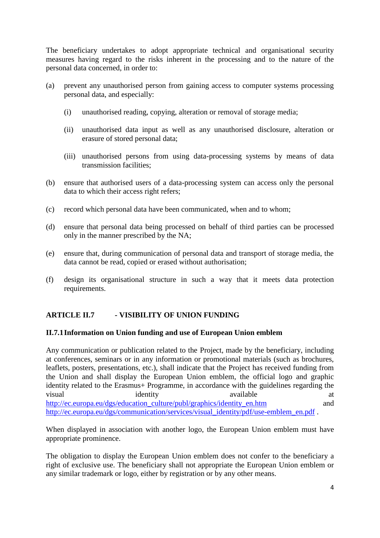The beneficiary undertakes to adopt appropriate technical and organisational security measures having regard to the risks inherent in the processing and to the nature of the personal data concerned, in order to:

- (a) prevent any unauthorised person from gaining access to computer systems processing personal data, and especially:
	- (i) unauthorised reading, copying, alteration or removal of storage media;
	- (ii) unauthorised data input as well as any unauthorised disclosure, alteration or erasure of stored personal data;
	- (iii) unauthorised persons from using data-processing systems by means of data transmission facilities;
- (b) ensure that authorised users of a data-processing system can access only the personal data to which their access right refers;
- (c) record which personal data have been communicated, when and to whom;
- (d) ensure that personal data being processed on behalf of third parties can be processed only in the manner prescribed by the NA;
- (e) ensure that, during communication of personal data and transport of storage media, the data cannot be read, copied or erased without authorisation;
- (f) design its organisational structure in such a way that it meets data protection requirements.

# **ARTICLE II.7 - VISIBILITY OF UNION FUNDING**

### **II.7.1Information on Union funding and use of European Union emblem**

Any communication or publication related to the Project, made by the beneficiary, including at conferences, seminars or in any information or promotional materials (such as brochures, leaflets, posters, presentations, etc.), shall indicate that the Project has received funding from the Union and shall display the European Union emblem, the official logo and graphic identity related to the Erasmus+ Programme, in accordance with the guidelines regarding the visual identity available at a [http://ec.europa.eu/dgs/education\\_culture/publ/graphics/identity\\_en.htm](http://ec.europa.eu/dgs/education_culture/publ/graphics/identity_en.htm) and [http://ec.europa.eu/dgs/communication/services/visual\\_identity/pdf/use-emblem\\_en.pdf](http://ec.europa.eu/dgs/communication/services/visual_identity/pdf/use-emblem_en.pdf) .

When displayed in association with another logo, the European Union emblem must have appropriate prominence.

The obligation to display the European Union emblem does not confer to the beneficiary a right of exclusive use. The beneficiary shall not appropriate the European Union emblem or any similar trademark or logo, either by registration or by any other means.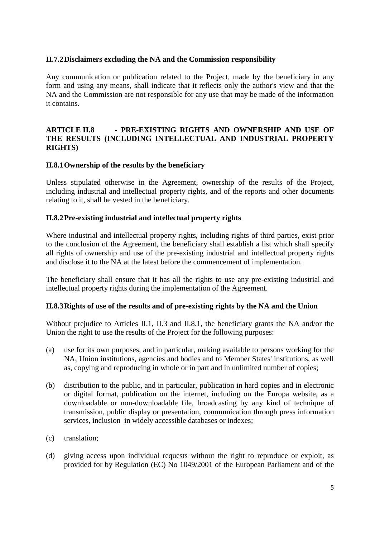## **II.7.2Disclaimers excluding the NA and the Commission responsibility**

Any communication or publication related to the Project, made by the beneficiary in any form and using any means, shall indicate that it reflects only the author's view and that the NA and the Commission are not responsible for any use that may be made of the information it contains.

# **ARTICLE II.8 - PRE-EXISTING RIGHTS AND OWNERSHIP AND USE OF THE RESULTS (INCLUDING INTELLECTUAL AND INDUSTRIAL PROPERTY RIGHTS)**

## **II.8.1Ownership of the results by the beneficiary**

Unless stipulated otherwise in the Agreement, ownership of the results of the Project, including industrial and intellectual property rights, and of the reports and other documents relating to it, shall be vested in the beneficiary.

## **II.8.2Pre-existing industrial and intellectual property rights**

Where industrial and intellectual property rights, including rights of third parties, exist prior to the conclusion of the Agreement, the beneficiary shall establish a list which shall specify all rights of ownership and use of the pre-existing industrial and intellectual property rights and disclose it to the NA at the latest before the commencement of implementation.

The beneficiary shall ensure that it has all the rights to use any pre-existing industrial and intellectual property rights during the implementation of the Agreement.

### **II.8.3Rights of use of the results and of pre-existing rights by the NA and the Union**

Without prejudice to Articles II.1, II.3 and II.8.1, the beneficiary grants the NA and/or the Union the right to use the results of the Project for the following purposes:

- (a) use for its own purposes, and in particular, making available to persons working for the NA, Union institutions, agencies and bodies and to Member States' institutions, as well as, copying and reproducing in whole or in part and in unlimited number of copies;
- (b) distribution to the public, and in particular, publication in hard copies and in electronic or digital format, publication on the internet, including on the Europa website, as a downloadable or non-downloadable file, broadcasting by any kind of technique of transmission, public display or presentation, communication through press information services, inclusion in widely accessible databases or indexes;
- (c) translation;
- (d) giving access upon individual requests without the right to reproduce or exploit, as provided for by Regulation (EC) No 1049/2001 of the European Parliament and of the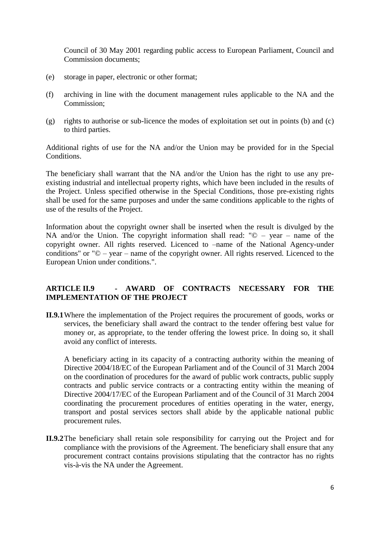Council of 30 May 2001 regarding public access to European Parliament, Council and Commission documents;

- (e) storage in paper, electronic or other format;
- (f) archiving in line with the document management rules applicable to the NA and the Commission;
- (g) rights to authorise or sub-licence the modes of exploitation set out in points (b) and (c) to third parties.

Additional rights of use for the NA and/or the Union may be provided for in the Special Conditions.

The beneficiary shall warrant that the NA and/or the Union has the right to use any preexisting industrial and intellectual property rights, which have been included in the results of the Project. Unless specified otherwise in the Special Conditions, those pre-existing rights shall be used for the same purposes and under the same conditions applicable to the rights of use of the results of the Project.

Information about the copyright owner shall be inserted when the result is divulged by the NA and/or the Union. The copyright information shall read:  $"© - year - name of the$ copyright owner. All rights reserved. Licenced to –name of the National Agency-under conditions" or "© – year – name of the copyright owner. All rights reserved. Licenced to the European Union under conditions.".

## **ARTICLE II.9 - AWARD OF CONTRACTS NECESSARY FOR THE IMPLEMENTATION OF THE PROJECT**

**II.9.1**Where the implementation of the Project requires the procurement of goods, works or services, the beneficiary shall award the contract to the tender offering best value for money or, as appropriate, to the tender offering the lowest price. In doing so, it shall avoid any conflict of interests.

A beneficiary acting in its capacity of a contracting authority within the meaning of Directive 2004/18/EC of the European Parliament and of the Council of 31 March 2004 on the coordination of procedures for the award of public work contracts, public supply contracts and public service contracts or a contracting entity within the meaning of Directive [2004/17/EC](http://eur-lex.europa.eu/LexUriServ/LexUriServ.do?uri=CELEX:32004L0017:EN:NOT) of the European Parliament and of the Council of 31 March 2004 coordinating the procurement procedures of entities operating in the water, energy, transport and postal services sectors shall abide by the applicable national public procurement rules.

**II.9.2**The beneficiary shall retain sole responsibility for carrying out the Project and for compliance with the provisions of the Agreement. The beneficiary shall ensure that any procurement contract contains provisions stipulating that the contractor has no rights vis-à-vis the NA under the Agreement.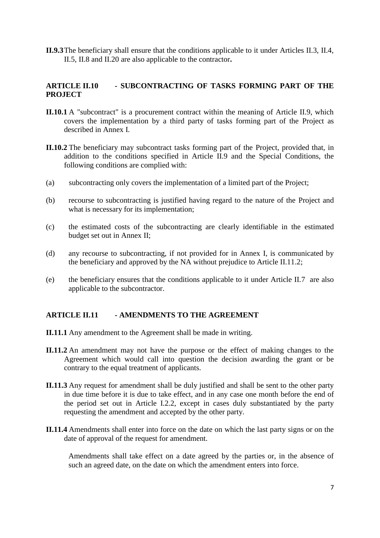**II.9.3**The beneficiary shall ensure that the conditions applicable to it under Articles II.3, II.4, II.5, II.8 and II.20 are also applicable to the contractor**.**

# **ARTICLE II.10 - SUBCONTRACTING OF TASKS FORMING PART OF THE PROJECT**

- **II.10.1** A "subcontract" is a procurement contract within the meaning of Article II.9, which covers the implementation by a third party of tasks forming part of the Project as described in Annex I.
- **II.10.2** The beneficiary may subcontract tasks forming part of the Project, provided that, in addition to the conditions specified in Article II.9 and the Special Conditions, the following conditions are complied with:
- (a) subcontracting only covers the implementation of a limited part of the Project;
- (b) recourse to subcontracting is justified having regard to the nature of the Project and what is necessary for its implementation;
- (c) the estimated costs of the subcontracting are clearly identifiable in the estimated budget set out in Annex II;
- (d) any recourse to subcontracting, if not provided for in Annex I, is communicated by the beneficiary and approved by the NA without prejudice to Article II.11.2;
- (e) the beneficiary ensures that the conditions applicable to it under Article II.7 are also applicable to the subcontractor.

### **ARTICLE II.11 - AMENDMENTS TO THE AGREEMENT**

- **II.11.1** Any amendment to the Agreement shall be made in writing.
- **II.11.2** An amendment may not have the purpose or the effect of making changes to the Agreement which would call into question the decision awarding the grant or be contrary to the equal treatment of applicants.
- **II.11.3** Any request for amendment shall be duly justified and shall be sent to the other party in due time before it is due to take effect, and in any case one month before the end of the period set out in Article I.2.2, except in cases duly substantiated by the party requesting the amendment and accepted by the other party.
- **II.11.4** Amendments shall enter into force on the date on which the last party signs or on the date of approval of the request for amendment.

Amendments shall take effect on a date agreed by the parties or, in the absence of such an agreed date, on the date on which the amendment enters into force.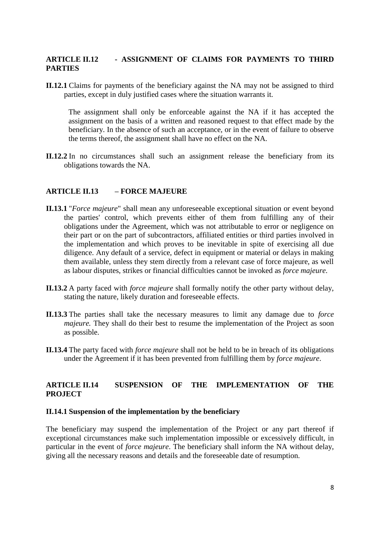## **ARTICLE II.12 - ASSIGNMENT OF CLAIMS FOR PAYMENTS TO THIRD PARTIES**

**II.12.1** Claims for payments of the beneficiary against the NA may not be assigned to third parties, except in duly justified cases where the situation warrants it.

The assignment shall only be enforceable against the NA if it has accepted the assignment on the basis of a written and reasoned request to that effect made by the beneficiary. In the absence of such an acceptance, or in the event of failure to observe the terms thereof, the assignment shall have no effect on the NA.

**II.12.2** In no circumstances shall such an assignment release the beneficiary from its obligations towards the NA.

#### **ARTICLE II.13 – FORCE MAJEURE**

- **II.13.1** "*Force majeure*" shall mean any unforeseeable exceptional situation or event beyond the parties' control, which prevents either of them from fulfilling any of their obligations under the Agreement, which was not attributable to error or negligence on their part or on the part of subcontractors, affiliated entities or third parties involved in the implementation and which proves to be inevitable in spite of exercising all due diligence. Any default of a service, defect in equipment or material or delays in making them available, unless they stem directly from a relevant case of force majeure, as well as labour disputes, strikes or financial difficulties cannot be invoked as *force majeure*.
- **II.13.2** A party faced with *force majeure* shall formally notify the other party without delay, stating the nature, likely duration and foreseeable effects.
- **II.13.3** The parties shall take the necessary measures to limit any damage due to *force majeure*. They shall do their best to resume the implementation of the Project as soon as possible.
- **II.13.4** The party faced with *force majeure* shall not be held to be in breach of its obligations under the Agreement if it has been prevented from fulfilling them by *force majeure*.

## **ARTICLE II.14 SUSPENSION OF THE IMPLEMENTATION OF THE PROJECT**

### **II.14.1 Suspension of the implementation by the beneficiary**

The beneficiary may suspend the implementation of the Project or any part thereof if exceptional circumstances make such implementation impossible or excessively difficult, in particular in the event of *force majeure*. The beneficiary shall inform the NA without delay, giving all the necessary reasons and details and the foreseeable date of resumption.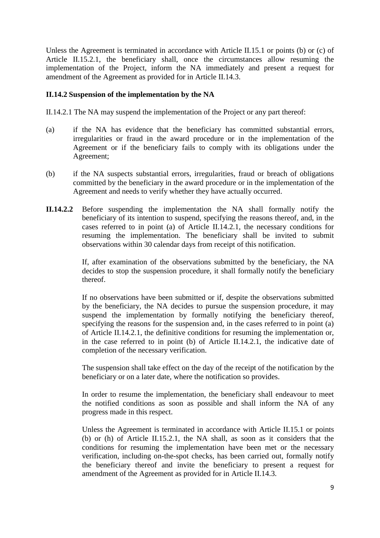Unless the Agreement is terminated in accordance with Article II.15.1 or points (b) or (c) of Article II.15.2.1, the beneficiary shall, once the circumstances allow resuming the implementation of the Project, inform the NA immediately and present a request for amendment of the Agreement as provided for in Article II.14.3.

## **II.14.2 Suspension of the implementation by the NA**

II.14.2.1 The NA may suspend the implementation of the Project or any part thereof:

- (a) if the NA has evidence that the beneficiary has committed substantial errors, irregularities or fraud in the award procedure or in the implementation of the Agreement or if the beneficiary fails to comply with its obligations under the Agreement;
- (b) if the NA suspects substantial errors, irregularities, fraud or breach of obligations committed by the beneficiary in the award procedure or in the implementation of the Agreement and needs to verify whether they have actually occurred.
- **II.14.2.2** Before suspending the implementation the NA shall formally notify the beneficiary of its intention to suspend, specifying the reasons thereof, and, in the cases referred to in point (a) of Article II.14.2.1, the necessary conditions for resuming the implementation. The beneficiary shall be invited to submit observations within 30 calendar days from receipt of this notification.

If, after examination of the observations submitted by the beneficiary, the NA decides to stop the suspension procedure, it shall formally notify the beneficiary thereof.

If no observations have been submitted or if, despite the observations submitted by the beneficiary, the NA decides to pursue the suspension procedure, it may suspend the implementation by formally notifying the beneficiary thereof, specifying the reasons for the suspension and, in the cases referred to in point (a) of Article II.14.2.1, the definitive conditions for resuming the implementation or, in the case referred to in point (b) of Article II.14.2.1, the indicative date of completion of the necessary verification.

The suspension shall take effect on the day of the receipt of the notification by the beneficiary or on a later date, where the notification so provides.

In order to resume the implementation, the beneficiary shall endeavour to meet the notified conditions as soon as possible and shall inform the NA of any progress made in this respect.

Unless the Agreement is terminated in accordance with Article II.15.1 or points (b) or (h) of Article II.15.2.1, the NA shall, as soon as it considers that the conditions for resuming the implementation have been met or the necessary verification, including on-the-spot checks, has been carried out, formally notify the beneficiary thereof and invite the beneficiary to present a request for amendment of the Agreement as provided for in Article II.14.3.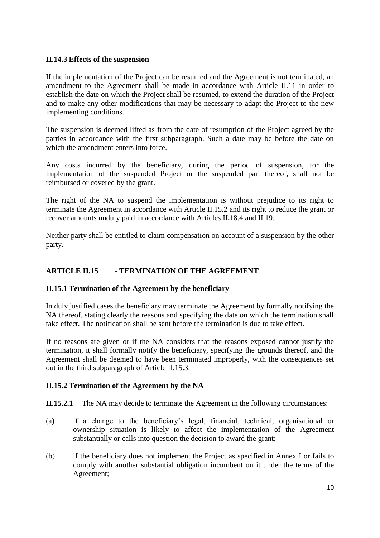## **II.14.3 Effects of the suspension**

If the implementation of the Project can be resumed and the Agreement is not terminated, an amendment to the Agreement shall be made in accordance with Article II.11 in order to establish the date on which the Project shall be resumed, to extend the duration of the Project and to make any other modifications that may be necessary to adapt the Project to the new implementing conditions.

The suspension is deemed lifted as from the date of resumption of the Project agreed by the parties in accordance with the first subparagraph. Such a date may be before the date on which the amendment enters into force.

Any costs incurred by the beneficiary, during the period of suspension, for the implementation of the suspended Project or the suspended part thereof, shall not be reimbursed or covered by the grant.

The right of the NA to suspend the implementation is without prejudice to its right to terminate the Agreement in accordance with Article II.15.2 and its right to reduce the grant or recover amounts unduly paid in accordance with Articles II**.**18.4 and II.19.

Neither party shall be entitled to claim compensation on account of a suspension by the other party.

# **ARTICLE II.15 - TERMINATION OF THE AGREEMENT**

### **II.15.1 Termination of the Agreement by the beneficiary**

In duly justified cases the beneficiary may terminate the Agreement by formally notifying the NA thereof, stating clearly the reasons and specifying the date on which the termination shall take effect. The notification shall be sent before the termination is due to take effect.

If no reasons are given or if the NA considers that the reasons exposed cannot justify the termination, it shall formally notify the beneficiary, specifying the grounds thereof, and the Agreement shall be deemed to have been terminated improperly, with the consequences set out in the third subparagraph of Article II.15.3.

### **II.15.2 Termination of the Agreement by the NA**

**II.15.2.1** The NA may decide to terminate the Agreement in the following circumstances:

- (a) if a change to the beneficiary's legal, financial, technical, organisational or ownership situation is likely to affect the implementation of the Agreement substantially or calls into question the decision to award the grant;
- (b) if the beneficiary does not implement the Project as specified in Annex I or fails to comply with another substantial obligation incumbent on it under the terms of the Agreement;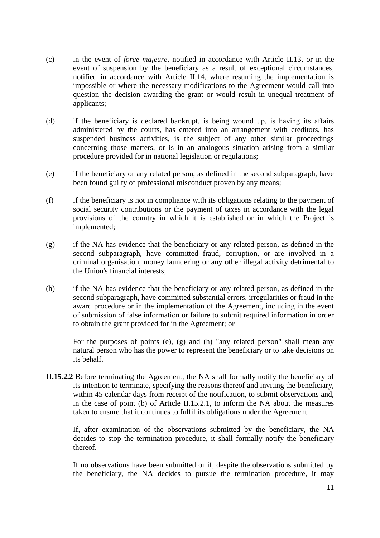- (c) in the event of *force majeure*, notified in accordance with Article II.13, or in the event of suspension by the beneficiary as a result of exceptional circumstances, notified in accordance with Article II.14, where resuming the implementation is impossible or where the necessary modifications to the Agreement would call into question the decision awarding the grant or would result in unequal treatment of applicants;
- (d) if the beneficiary is declared bankrupt, is being wound up, is having its affairs administered by the courts, has entered into an arrangement with creditors, has suspended business activities, is the subject of any other similar proceedings concerning those matters, or is in an analogous situation arising from a similar procedure provided for in national legislation or regulations;
- (e) if the beneficiary or any related person, as defined in the second subparagraph, have been found guilty of professional misconduct proven by any means;
- (f) if the beneficiary is not in compliance with its obligations relating to the payment of social security contributions or the payment of taxes in accordance with the legal provisions of the country in which it is established or in which the Project is implemented;
- (g) if the NA has evidence that the beneficiary or any related person, as defined in the second subparagraph, have committed fraud, corruption, or are involved in a criminal organisation, money laundering or any other illegal activity detrimental to the Union's financial interests;
- (h) if the NA has evidence that the beneficiary or any related person, as defined in the second subparagraph, have committed substantial errors, irregularities or fraud in the award procedure or in the implementation of the Agreement, including in the event of submission of false information or failure to submit required information in order to obtain the grant provided for in the Agreement; or

For the purposes of points (e), (g) and (h) "any related person" shall mean any natural person who has the power to represent the beneficiary or to take decisions on its behalf.

**II.15.2.2** Before terminating the Agreement, the NA shall formally notify the beneficiary of its intention to terminate, specifying the reasons thereof and inviting the beneficiary, within 45 calendar days from receipt of the notification, to submit observations and, in the case of point (b) of Article II.15.2.1, to inform the NA about the measures taken to ensure that it continues to fulfil its obligations under the Agreement.

If, after examination of the observations submitted by the beneficiary, the NA decides to stop the termination procedure, it shall formally notify the beneficiary thereof.

If no observations have been submitted or if, despite the observations submitted by the beneficiary, the NA decides to pursue the termination procedure, it may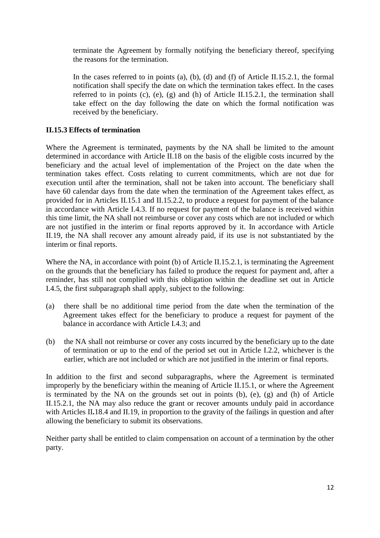terminate the Agreement by formally notifying the beneficiary thereof, specifying the reasons for the termination.

In the cases referred to in points (a), (b), (d) and (f) of Article II.15.2.1, the formal notification shall specify the date on which the termination takes effect. In the cases referred to in points (c), (e), (g) and (h) of Article II.15.2.1, the termination shall take effect on the day following the date on which the formal notification was received by the beneficiary.

# **II.15.3 Effects of termination**

Where the Agreement is terminated, payments by the NA shall be limited to the amount determined in accordance with Article II.18 on the basis of the eligible costs incurred by the beneficiary and the actual level of implementation of the Project on the date when the termination takes effect. Costs relating to current commitments, which are not due for execution until after the termination, shall not be taken into account. The beneficiary shall have 60 calendar days from the date when the termination of the Agreement takes effect, as provided for in Articles II.15.1 and II.15.2.2, to produce a request for payment of the balance in accordance with Article I.4.3. If no request for payment of the balance is received within this time limit, the NA shall not reimburse or cover any costs which are not included or which are not justified in the interim or final reports approved by it. In accordance with Article II.19, the NA shall recover any amount already paid, if its use is not substantiated by the interim or final reports.

Where the NA, in accordance with point (b) of Article II.15.2.1, is terminating the Agreement on the grounds that the beneficiary has failed to produce the request for payment and, after a reminder, has still not complied with this obligation within the deadline set out in Article I.4.5, the first subparagraph shall apply, subject to the following:

- (a) there shall be no additional time period from the date when the termination of the Agreement takes effect for the beneficiary to produce a request for payment of the balance in accordance with Article I.4.3; and
- (b) the NA shall not reimburse or cover any costs incurred by the beneficiary up to the date of termination or up to the end of the period set out in Article I.2.2, whichever is the earlier, which are not included or which are not justified in the interim or final reports.

In addition to the first and second subparagraphs, where the Agreement is terminated improperly by the beneficiary within the meaning of Article II.15.1, or where the Agreement is terminated by the NA on the grounds set out in points (b), (e), (g) and (h) of Article II.15.2.1, the NA may also reduce the grant or recover amounts unduly paid in accordance with Articles II.18.4 and II.19, in proportion to the gravity of the failings in question and after allowing the beneficiary to submit its observations.

Neither party shall be entitled to claim compensation on account of a termination by the other party.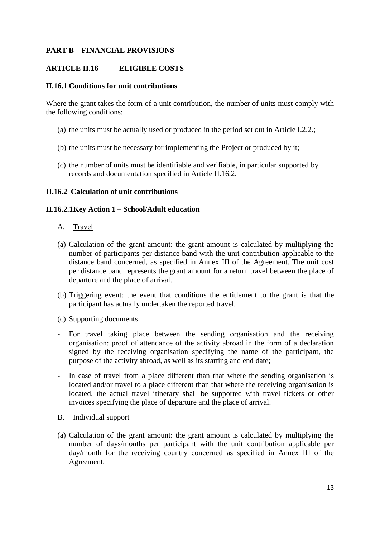# **PART B – FINANCIAL PROVISIONS**

## **ARTICLE II.16 - ELIGIBLE COSTS**

### **II.16.1 Conditions for unit contributions**

Where the grant takes the form of a unit contribution, the number of units must comply with the following conditions:

- (a) the units must be actually used or produced in the period set out in Article I.2.2.;
- (b) the units must be necessary for implementing the Project or produced by it;
- (c) the number of units must be identifiable and verifiable, in particular supported by records and documentation specified in Article II.16.2.

## **II.16.2 Calculation of unit contributions**

### **II.16.2.1Key Action 1 – School/Adult education**

- A. Travel
- (a) Calculation of the grant amount: the grant amount is calculated by multiplying the number of participants per distance band with the unit contribution applicable to the distance band concerned, as specified in Annex III of the Agreement. The unit cost per distance band represents the grant amount for a return travel between the place of departure and the place of arrival.
- (b) Triggering event: the event that conditions the entitlement to the grant is that the participant has actually undertaken the reported travel.
- (c) Supporting documents:
- For travel taking place between the sending organisation and the receiving organisation: proof of attendance of the activity abroad in the form of a declaration signed by the receiving organisation specifying the name of the participant, the purpose of the activity abroad, as well as its starting and end date;
- In case of travel from a place different than that where the sending organisation is located and/or travel to a place different than that where the receiving organisation is located, the actual travel itinerary shall be supported with travel tickets or other invoices specifying the place of departure and the place of arrival.
- B. Individual support
- (a) Calculation of the grant amount: the grant amount is calculated by multiplying the number of days/months per participant with the unit contribution applicable per day/month for the receiving country concerned as specified in Annex III of the Agreement.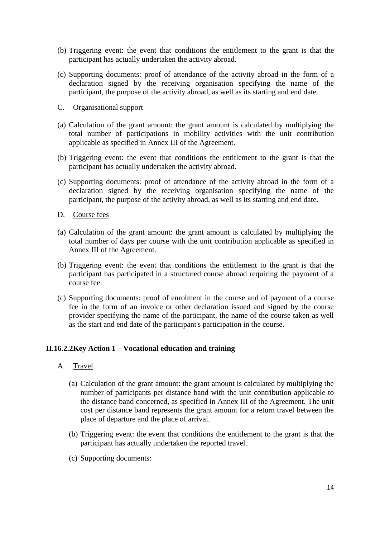- (b) Triggering event: the event that conditions the entitlement to the grant is that the participant has actually undertaken the activity abroad.
- (c) Supporting documents: proof of attendance of the activity abroad in the form of a declaration signed by the receiving organisation specifying the name of the participant, the purpose of the activity abroad, as well as its starting and end date.
- C. Organisational support
- (a) Calculation of the grant amount: the grant amount is calculated by multiplying the total number of participations in mobility activities with the unit contribution applicable as specified in Annex III of the Agreement.
- (b) Triggering event: the event that conditions the entitlement to the grant is that the participant has actually undertaken the activity abroad.
- (c) Supporting documents: proof of attendance of the activity abroad in the form of a declaration signed by the receiving organisation specifying the name of the participant, the purpose of the activity abroad, as well as its starting and end date.
- D. Course fees
- (a) Calculation of the grant amount: the grant amount is calculated by multiplying the total number of days per course with the unit contribution applicable as specified in Annex III of the Agreement.
- (b) Triggering event: the event that conditions the entitlement to the grant is that the participant has participated in a structured course abroad requiring the payment of a course fee.
- (c) Supporting documents: proof of enrolment in the course and of payment of a course fee in the form of an invoice or other declaration issued and signed by the course provider specifying the name of the participant, the name of the course taken as well as the start and end date of the participant's participation in the course.

### **II.16.2.2Key Action 1 – Vocational education and training**

- A. Travel
	- (a) Calculation of the grant amount: the grant amount is calculated by multiplying the number of participants per distance band with the unit contribution applicable to the distance band concerned, as specified in Annex III of the Agreement. The unit cost per distance band represents the grant amount for a return travel between the place of departure and the place of arrival.
	- (b) Triggering event: the event that conditions the entitlement to the grant is that the participant has actually undertaken the reported travel.
	- (c) Supporting documents: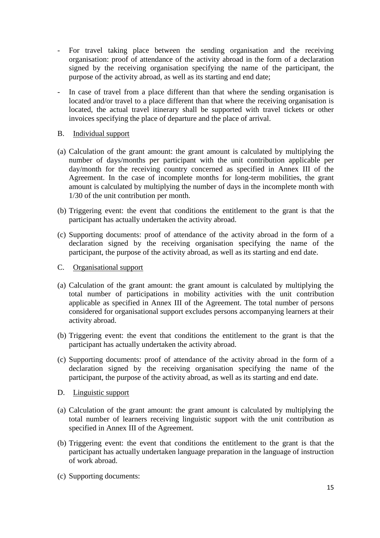- For travel taking place between the sending organisation and the receiving organisation: proof of attendance of the activity abroad in the form of a declaration signed by the receiving organisation specifying the name of the participant, the purpose of the activity abroad, as well as its starting and end date;
- In case of travel from a place different than that where the sending organisation is located and/or travel to a place different than that where the receiving organisation is located, the actual travel itinerary shall be supported with travel tickets or other invoices specifying the place of departure and the place of arrival.
- B. Individual support
- (a) Calculation of the grant amount: the grant amount is calculated by multiplying the number of days/months per participant with the unit contribution applicable per day/month for the receiving country concerned as specified in Annex III of the Agreement. In the case of incomplete months for long-term mobilities, the grant amount is calculated by multiplying the number of days in the incomplete month with 1/30 of the unit contribution per month.
- (b) Triggering event: the event that conditions the entitlement to the grant is that the participant has actually undertaken the activity abroad.
- (c) Supporting documents: proof of attendance of the activity abroad in the form of a declaration signed by the receiving organisation specifying the name of the participant, the purpose of the activity abroad, as well as its starting and end date.
- C. Organisational support
- (a) Calculation of the grant amount: the grant amount is calculated by multiplying the total number of participations in mobility activities with the unit contribution applicable as specified in Annex III of the Agreement. The total number of persons considered for organisational support excludes persons accompanying learners at their activity abroad.
- (b) Triggering event: the event that conditions the entitlement to the grant is that the participant has actually undertaken the activity abroad.
- (c) Supporting documents: proof of attendance of the activity abroad in the form of a declaration signed by the receiving organisation specifying the name of the participant, the purpose of the activity abroad, as well as its starting and end date.
- D. Linguistic support
- (a) Calculation of the grant amount: the grant amount is calculated by multiplying the total number of learners receiving linguistic support with the unit contribution as specified in Annex III of the Agreement.
- (b) Triggering event: the event that conditions the entitlement to the grant is that the participant has actually undertaken language preparation in the language of instruction of work abroad.
- (c) Supporting documents: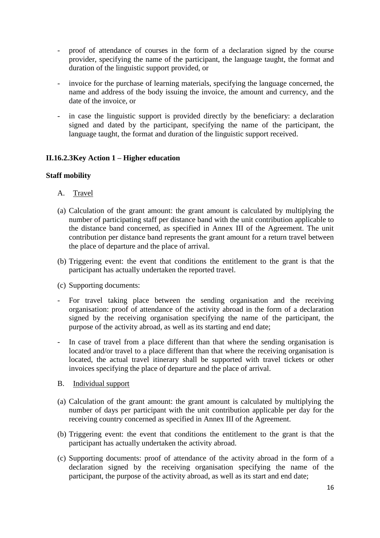- proof of attendance of courses in the form of a declaration signed by the course provider, specifying the name of the participant, the language taught, the format and duration of the linguistic support provided, or
- invoice for the purchase of learning materials, specifying the language concerned, the name and address of the body issuing the invoice, the amount and currency, and the date of the invoice, or
- in case the linguistic support is provided directly by the beneficiary: a declaration signed and dated by the participant, specifying the name of the participant, the language taught, the format and duration of the linguistic support received.

# **II.16.2.3Key Action 1 – Higher education**

### **Staff mobility**

- A. Travel
- (a) Calculation of the grant amount: the grant amount is calculated by multiplying the number of participating staff per distance band with the unit contribution applicable to the distance band concerned, as specified in Annex III of the Agreement. The unit contribution per distance band represents the grant amount for a return travel between the place of departure and the place of arrival.
- (b) Triggering event: the event that conditions the entitlement to the grant is that the participant has actually undertaken the reported travel.
- (c) Supporting documents:
- For travel taking place between the sending organisation and the receiving organisation: proof of attendance of the activity abroad in the form of a declaration signed by the receiving organisation specifying the name of the participant, the purpose of the activity abroad, as well as its starting and end date;
- In case of travel from a place different than that where the sending organisation is located and/or travel to a place different than that where the receiving organisation is located, the actual travel itinerary shall be supported with travel tickets or other invoices specifying the place of departure and the place of arrival.
- B. Individual support
- (a) Calculation of the grant amount: the grant amount is calculated by multiplying the number of days per participant with the unit contribution applicable per day for the receiving country concerned as specified in Annex III of the Agreement.
- (b) Triggering event: the event that conditions the entitlement to the grant is that the participant has actually undertaken the activity abroad.
- (c) Supporting documents: proof of attendance of the activity abroad in the form of a declaration signed by the receiving organisation specifying the name of the participant, the purpose of the activity abroad, as well as its start and end date;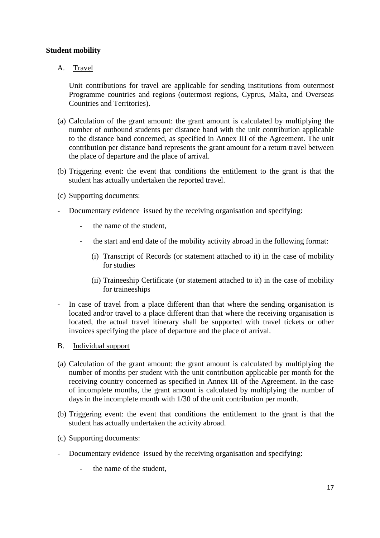## **Student mobility**

A. Travel

Unit contributions for travel are applicable for sending institutions from outermost Programme countries and regions (outermost regions, Cyprus, Malta, and Overseas Countries and Territories).

- (a) Calculation of the grant amount: the grant amount is calculated by multiplying the number of outbound students per distance band with the unit contribution applicable to the distance band concerned, as specified in Annex III of the Agreement. The unit contribution per distance band represents the grant amount for a return travel between the place of departure and the place of arrival.
- (b) Triggering event: the event that conditions the entitlement to the grant is that the student has actually undertaken the reported travel.
- (c) Supporting documents:
- Documentary evidence issued by the receiving organisation and specifying:
	- the name of the student.
	- the start and end date of the mobility activity abroad in the following format:
		- (i) Transcript of Records (or statement attached to it) in the case of mobility for studies
		- (ii) Traineeship Certificate (or statement attached to it) in the case of mobility for traineeships
- In case of travel from a place different than that where the sending organisation is located and/or travel to a place different than that where the receiving organisation is located, the actual travel itinerary shall be supported with travel tickets or other invoices specifying the place of departure and the place of arrival.
- B. Individual support
- (a) Calculation of the grant amount: the grant amount is calculated by multiplying the number of months per student with the unit contribution applicable per month for the receiving country concerned as specified in Annex III of the Agreement. In the case of incomplete months, the grant amount is calculated by multiplying the number of days in the incomplete month with 1/30 of the unit contribution per month.
- (b) Triggering event: the event that conditions the entitlement to the grant is that the student has actually undertaken the activity abroad.
- (c) Supporting documents:
- Documentary evidence issued by the receiving organisation and specifying:
	- the name of the student.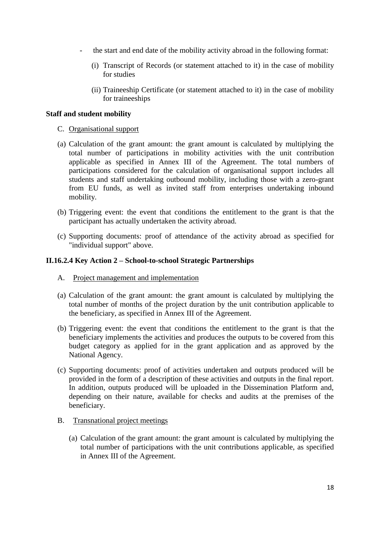- the start and end date of the mobility activity abroad in the following format:
	- (i) Transcript of Records (or statement attached to it) in the case of mobility for studies
	- (ii) Traineeship Certificate (or statement attached to it) in the case of mobility for traineeships

#### **Staff and student mobility**

- C. Organisational support
- (a) Calculation of the grant amount: the grant amount is calculated by multiplying the total number of participations in mobility activities with the unit contribution applicable as specified in Annex III of the Agreement. The total numbers of participations considered for the calculation of organisational support includes all students and staff undertaking outbound mobility, including those with a zero-grant from EU funds, as well as invited staff from enterprises undertaking inbound mobility.
- (b) Triggering event: the event that conditions the entitlement to the grant is that the participant has actually undertaken the activity abroad.
- (c) Supporting documents: proof of attendance of the activity abroad as specified for "individual support" above.

#### **II.16.2.4 Key Action 2 – School-to-school Strategic Partnerships**

- A. Project management and implementation
- (a) Calculation of the grant amount: the grant amount is calculated by multiplying the total number of months of the project duration by the unit contribution applicable to the beneficiary, as specified in Annex III of the Agreement.
- (b) Triggering event: the event that conditions the entitlement to the grant is that the beneficiary implements the activities and produces the outputs to be covered from this budget category as applied for in the grant application and as approved by the National Agency.
- (c) Supporting documents: proof of activities undertaken and outputs produced will be provided in the form of a description of these activities and outputs in the final report. In addition, outputs produced will be uploaded in the Dissemination Platform and, depending on their nature, available for checks and audits at the premises of the beneficiary.
- B. Transnational project meetings
	- (a) Calculation of the grant amount: the grant amount is calculated by multiplying the total number of participations with the unit contributions applicable, as specified in Annex III of the Agreement.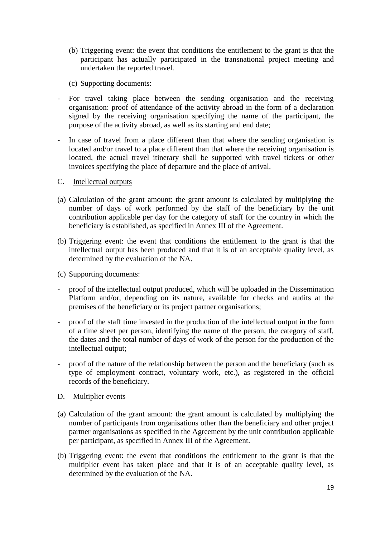- (b) Triggering event: the event that conditions the entitlement to the grant is that the participant has actually participated in the transnational project meeting and undertaken the reported travel.
- (c) Supporting documents:
- For travel taking place between the sending organisation and the receiving organisation: proof of attendance of the activity abroad in the form of a declaration signed by the receiving organisation specifying the name of the participant, the purpose of the activity abroad, as well as its starting and end date;
- In case of travel from a place different than that where the sending organisation is located and/or travel to a place different than that where the receiving organisation is located, the actual travel itinerary shall be supported with travel tickets or other invoices specifying the place of departure and the place of arrival.
- C. Intellectual outputs
- (a) Calculation of the grant amount: the grant amount is calculated by multiplying the number of days of work performed by the staff of the beneficiary by the unit contribution applicable per day for the category of staff for the country in which the beneficiary is established, as specified in Annex III of the Agreement.
- (b) Triggering event: the event that conditions the entitlement to the grant is that the intellectual output has been produced and that it is of an acceptable quality level, as determined by the evaluation of the NA.
- (c) Supporting documents:
- proof of the intellectual output produced, which will be uploaded in the Dissemination Platform and/or, depending on its nature, available for checks and audits at the premises of the beneficiary or its project partner organisations;
- proof of the staff time invested in the production of the intellectual output in the form of a time sheet per person, identifying the name of the person, the category of staff, the dates and the total number of days of work of the person for the production of the intellectual output;
- proof of the nature of the relationship between the person and the beneficiary (such as type of employment contract, voluntary work, etc.), as registered in the official records of the beneficiary.
- D. Multiplier events
- (a) Calculation of the grant amount: the grant amount is calculated by multiplying the number of participants from organisations other than the beneficiary and other project partner organisations as specified in the Agreement by the unit contribution applicable per participant, as specified in Annex III of the Agreement.
- (b) Triggering event: the event that conditions the entitlement to the grant is that the multiplier event has taken place and that it is of an acceptable quality level, as determined by the evaluation of the NA.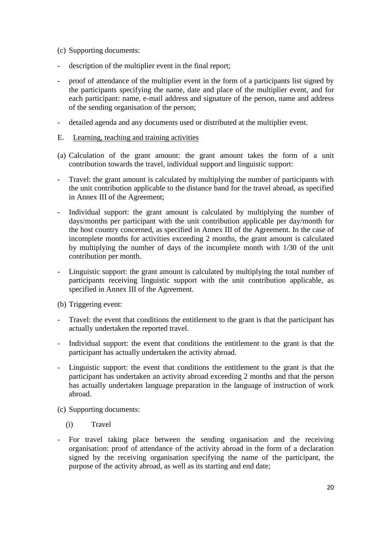- (c) Supporting documents:
- description of the multiplier event in the final report;
- proof of attendance of the multiplier event in the form of a participants list signed by the participants specifying the name, date and place of the multiplier event, and for each participant: name, e-mail address and signature of the person, name and address of the sending organisation of the person;
- detailed agenda and any documents used or distributed at the multiplier event.
- E. Learning, teaching and training activities
- (a) Calculation of the grant amount: the grant amount takes the form of a unit contribution towards the travel, individual support and linguistic support:
- Travel: the grant amount is calculated by multiplying the number of participants with the unit contribution applicable to the distance band for the travel abroad, as specified in Annex III of the Agreement;
- Individual support: the grant amount is calculated by multiplying the number of days/months per participant with the unit contribution applicable per day/month for the host country concerned, as specified in Annex III of the Agreement. In the case of incomplete months for activities exceeding 2 months, the grant amount is calculated by multiplying the number of days of the incomplete month with 1/30 of the unit contribution per month.
- Linguistic support: the grant amount is calculated by multiplying the total number of participants receiving linguistic support with the unit contribution applicable, as specified in Annex III of the Agreement.
- (b) Triggering event:
- Travel: the event that conditions the entitlement to the grant is that the participant has actually undertaken the reported travel.
- Individual support: the event that conditions the entitlement to the grant is that the participant has actually undertaken the activity abroad.
- Linguistic support: the event that conditions the entitlement to the grant is that the participant has undertaken an activity abroad exceeding 2 months and that the person has actually undertaken language preparation in the language of instruction of work abroad.
- (c) Supporting documents:
	- (i) Travel
- For travel taking place between the sending organisation and the receiving organisation: proof of attendance of the activity abroad in the form of a declaration signed by the receiving organisation specifying the name of the participant, the purpose of the activity abroad, as well as its starting and end date;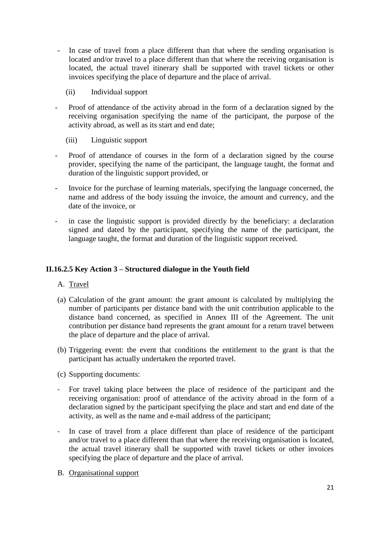- In case of travel from a place different than that where the sending organisation is located and/or travel to a place different than that where the receiving organisation is located, the actual travel itinerary shall be supported with travel tickets or other invoices specifying the place of departure and the place of arrival.
	- (ii) Individual support
- Proof of attendance of the activity abroad in the form of a declaration signed by the receiving organisation specifying the name of the participant, the purpose of the activity abroad, as well as its start and end date;
	- (iii) Linguistic support
- Proof of attendance of courses in the form of a declaration signed by the course provider, specifying the name of the participant, the language taught, the format and duration of the linguistic support provided, or
- Invoice for the purchase of learning materials, specifying the language concerned, the name and address of the body issuing the invoice, the amount and currency, and the date of the invoice, or
- in case the linguistic support is provided directly by the beneficiary: a declaration signed and dated by the participant, specifying the name of the participant, the language taught, the format and duration of the linguistic support received.

## **II.16.2.5 Key Action 3 – Structured dialogue in the Youth field**

- A. Travel
- (a) Calculation of the grant amount: the grant amount is calculated by multiplying the number of participants per distance band with the unit contribution applicable to the distance band concerned, as specified in Annex III of the Agreement. The unit contribution per distance band represents the grant amount for a return travel between the place of departure and the place of arrival.
- (b) Triggering event: the event that conditions the entitlement to the grant is that the participant has actually undertaken the reported travel.
- (c) Supporting documents:
- For travel taking place between the place of residence of the participant and the receiving organisation: proof of attendance of the activity abroad in the form of a declaration signed by the participant specifying the place and start and end date of the activity, as well as the name and e-mail address of the participant;
- In case of travel from a place different than place of residence of the participant and/or travel to a place different than that where the receiving organisation is located, the actual travel itinerary shall be supported with travel tickets or other invoices specifying the place of departure and the place of arrival.
- B. Organisational support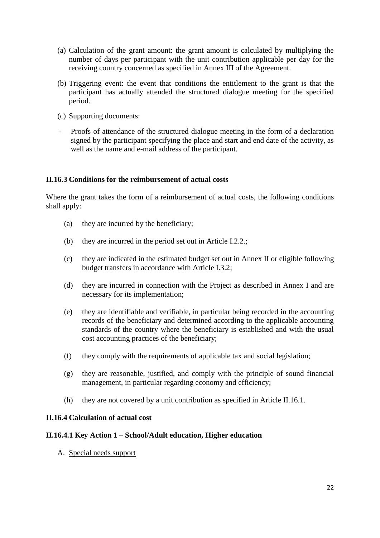- (a) Calculation of the grant amount: the grant amount is calculated by multiplying the number of days per participant with the unit contribution applicable per day for the receiving country concerned as specified in Annex III of the Agreement.
- (b) Triggering event: the event that conditions the entitlement to the grant is that the participant has actually attended the structured dialogue meeting for the specified period.
- (c) Supporting documents:
- Proofs of attendance of the structured dialogue meeting in the form of a declaration signed by the participant specifying the place and start and end date of the activity, as well as the name and e-mail address of the participant.

## **II.16.3 Conditions for the reimbursement of actual costs**

Where the grant takes the form of a reimbursement of actual costs, the following conditions shall apply:

- (a) they are incurred by the beneficiary;
- (b) they are incurred in the period set out in Article I.2.2.;
- (c) they are indicated in the estimated budget set out in Annex II or eligible following budget transfers in accordance with Article I.3.2;
- (d) they are incurred in connection with the Project as described in Annex I and are necessary for its implementation;
- (e) they are identifiable and verifiable, in particular being recorded in the accounting records of the beneficiary and determined according to the applicable accounting standards of the country where the beneficiary is established and with the usual cost accounting practices of the beneficiary;
- (f) they comply with the requirements of applicable tax and social legislation;
- (g) they are reasonable, justified, and comply with the principle of sound financial management, in particular regarding economy and efficiency;
- (h) they are not covered by a unit contribution as specified in Article II.16.1.

### **II.16.4 Calculation of actual cost**

### **II.16.4.1 Key Action 1 – School/Adult education, Higher education**

A. Special needs support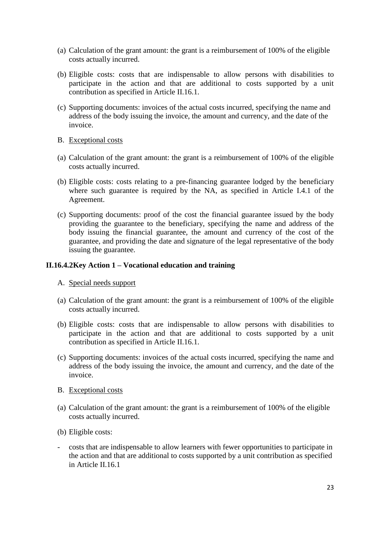- (a) Calculation of the grant amount: the grant is a reimbursement of 100% of the eligible costs actually incurred.
- (b) Eligible costs: costs that are indispensable to allow persons with disabilities to participate in the action and that are additional to costs supported by a unit contribution as specified in Article II.16.1.
- (c) Supporting documents: invoices of the actual costs incurred, specifying the name and address of the body issuing the invoice, the amount and currency, and the date of the invoice.
- B. Exceptional costs
- (a) Calculation of the grant amount: the grant is a reimbursement of 100% of the eligible costs actually incurred.
- (b) Eligible costs: costs relating to a pre-financing guarantee lodged by the beneficiary where such guarantee is required by the NA, as specified in Article I.4.1 of the Agreement.
- (c) Supporting documents: proof of the cost the financial guarantee issued by the body providing the guarantee to the beneficiary, specifying the name and address of the body issuing the financial guarantee, the amount and currency of the cost of the guarantee, and providing the date and signature of the legal representative of the body issuing the guarantee.

#### **II.16.4.2Key Action 1 – Vocational education and training**

- A. Special needs support
- (a) Calculation of the grant amount: the grant is a reimbursement of 100% of the eligible costs actually incurred.
- (b) Eligible costs: costs that are indispensable to allow persons with disabilities to participate in the action and that are additional to costs supported by a unit contribution as specified in Article II.16.1.
- (c) Supporting documents: invoices of the actual costs incurred, specifying the name and address of the body issuing the invoice, the amount and currency, and the date of the invoice.
- B. Exceptional costs
- (a) Calculation of the grant amount: the grant is a reimbursement of 100% of the eligible costs actually incurred.
- (b) Eligible costs:
- costs that are indispensable to allow learners with fewer opportunities to participate in the action and that are additional to costs supported by a unit contribution as specified in Article II.16.1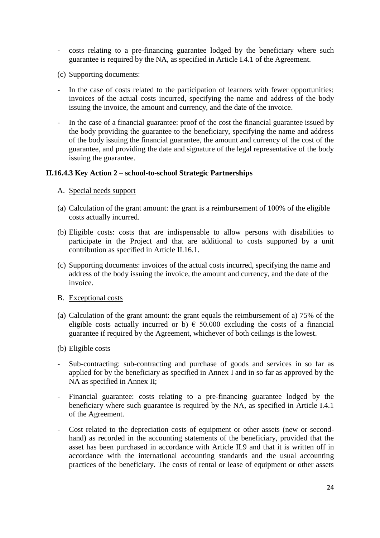- costs relating to a pre-financing guarantee lodged by the beneficiary where such guarantee is required by the NA, as specified in Article I.4.1 of the Agreement.
- (c) Supporting documents:
- In the case of costs related to the participation of learners with fewer opportunities: invoices of the actual costs incurred, specifying the name and address of the body issuing the invoice, the amount and currency, and the date of the invoice.
- In the case of a financial guarantee: proof of the cost the financial guarantee issued by the body providing the guarantee to the beneficiary, specifying the name and address of the body issuing the financial guarantee, the amount and currency of the cost of the guarantee, and providing the date and signature of the legal representative of the body issuing the guarantee.

## **II.16.4.3 Key Action 2 – school-to-school Strategic Partnerships**

- A. Special needs support
- (a) Calculation of the grant amount: the grant is a reimbursement of 100% of the eligible costs actually incurred.
- (b) Eligible costs: costs that are indispensable to allow persons with disabilities to participate in the Project and that are additional to costs supported by a unit contribution as specified in Article II.16.1.
- (c) Supporting documents: invoices of the actual costs incurred, specifying the name and address of the body issuing the invoice, the amount and currency, and the date of the invoice.
- B. Exceptional costs
- (a) Calculation of the grant amount: the grant equals the reimbursement of a) 75% of the eligible costs actually incurred or b)  $\epsilon$  50.000 excluding the costs of a financial guarantee if required by the Agreement, whichever of both ceilings is the lowest.
- (b) Eligible costs
- Sub-contracting: sub-contracting and purchase of goods and services in so far as applied for by the beneficiary as specified in Annex I and in so far as approved by the NA as specified in Annex II;
- Financial guarantee: costs relating to a pre-financing guarantee lodged by the beneficiary where such guarantee is required by the NA, as specified in Article I.4.1 of the Agreement.
- Cost related to the depreciation costs of equipment or other assets (new or secondhand) as recorded in the accounting statements of the beneficiary, provided that the asset has been purchased in accordance with Article II.9 and that it is written off in accordance with the international accounting standards and the usual accounting practices of the beneficiary. The costs of rental or lease of equipment or other assets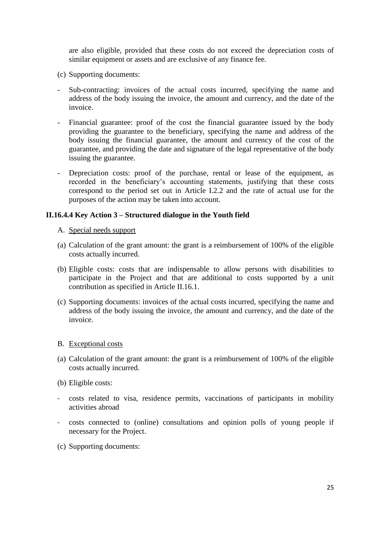are also eligible, provided that these costs do not exceed the depreciation costs of similar equipment or assets and are exclusive of any finance fee.

- (c) Supporting documents:
- Sub-contracting: invoices of the actual costs incurred, specifying the name and address of the body issuing the invoice, the amount and currency, and the date of the invoice.
- Financial guarantee: proof of the cost the financial guarantee issued by the body providing the guarantee to the beneficiary, specifying the name and address of the body issuing the financial guarantee, the amount and currency of the cost of the guarantee, and providing the date and signature of the legal representative of the body issuing the guarantee.
- Depreciation costs: proof of the purchase, rental or lease of the equipment, as recorded in the beneficiary's accounting statements, justifying that these costs correspond to the period set out in Article I.2.2 and the rate of actual use for the purposes of the action may be taken into account.

## **II.16.4.4 Key Action 3 – Structured dialogue in the Youth field**

### A. Special needs support

- (a) Calculation of the grant amount: the grant is a reimbursement of 100% of the eligible costs actually incurred.
- (b) Eligible costs: costs that are indispensable to allow persons with disabilities to participate in the Project and that are additional to costs supported by a unit contribution as specified in Article II.16.1.
- (c) Supporting documents: invoices of the actual costs incurred, specifying the name and address of the body issuing the invoice, the amount and currency, and the date of the invoice.

### B. Exceptional costs

- (a) Calculation of the grant amount: the grant is a reimbursement of 100% of the eligible costs actually incurred.
- (b) Eligible costs:
- costs related to visa, residence permits, vaccinations of participants in mobility activities abroad
- costs connected to (online) consultations and opinion polls of young people if necessary for the Project.
- (c) Supporting documents: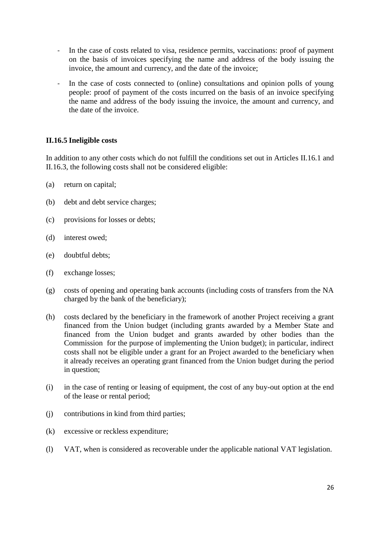- In the case of costs related to visa, residence permits, vaccinations: proof of payment on the basis of invoices specifying the name and address of the body issuing the invoice, the amount and currency, and the date of the invoice;
- In the case of costs connected to (online) consultations and opinion polls of young people: proof of payment of the costs incurred on the basis of an invoice specifying the name and address of the body issuing the invoice, the amount and currency, and the date of the invoice.

# **II.16.5 Ineligible costs**

In addition to any other costs which do not fulfill the conditions set out in Articles II.16.1 and II.16.3, the following costs shall not be considered eligible:

- (a) return on capital;
- (b) debt and debt service charges;
- (c) provisions for losses or debts;
- (d) interest owed;
- (e) doubtful debts;
- (f) exchange losses;
- (g) costs of opening and operating bank accounts (including costs of transfers from the NA charged by the bank of the beneficiary);
- (h) costs declared by the beneficiary in the framework of another Project receiving a grant financed from the Union budget (including grants awarded by a Member State and financed from the Union budget and grants awarded by other bodies than the Commission for the purpose of implementing the Union budget); in particular, indirect costs shall not be eligible under a grant for an Project awarded to the beneficiary when it already receives an operating grant financed from the Union budget during the period in question;
- (i) in the case of renting or leasing of equipment, the cost of any buy-out option at the end of the lease or rental period;
- (j) contributions in kind from third parties;
- (k) excessive or reckless expenditure;
- (l) VAT, when is considered as recoverable under the applicable national VAT legislation.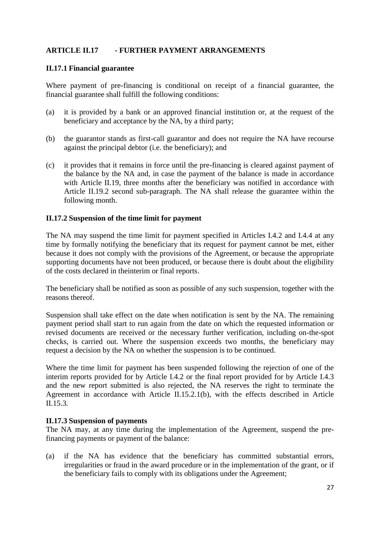# **ARTICLE II.17 - FURTHER PAYMENT ARRANGEMENTS**

### **II.17.1 Financial guarantee**

Where payment of pre-financing is conditional on receipt of a financial guarantee, the financial guarantee shall fulfill the following conditions:

- (a) it is provided by a bank or an approved financial institution or, at the request of the beneficiary and acceptance by the NA, by a third party;
- (b) the guarantor stands as first-call guarantor and does not require the NA have recourse against the principal debtor (i.e. the beneficiary); and
- (c) it provides that it remains in force until the pre-financing is cleared against payment of the balance by the NA and, in case the payment of the balance is made in accordance with Article II.19, three months after the beneficiary was notified in accordance with Article II.19.2 second sub-paragraph. The NA shall release the guarantee within the following month.

## **II.17.2 Suspension of the time limit for payment**

The NA may suspend the time limit for payment specified in Articles I.4.2 and I.4.4 at any time by formally notifying the beneficiary that its request for payment cannot be met, either because it does not comply with the provisions of the Agreement, or because the appropriate supporting documents have not been produced, or because there is doubt about the eligibility of the costs declared in theinterim or final reports.

The beneficiary shall be notified as soon as possible of any such suspension, together with the reasons thereof.

Suspension shall take effect on the date when notification is sent by the NA. The remaining payment period shall start to run again from the date on which the requested information or revised documents are received or the necessary further verification, including on-the-spot checks, is carried out. Where the suspension exceeds two months, the beneficiary may request a decision by the NA on whether the suspension is to be continued.

Where the time limit for payment has been suspended following the rejection of one of the interim reports provided for by Article I.4.2 or the final report provided for by Article I.4.3 and the new report submitted is also rejected, the NA reserves the right to terminate the Agreement in accordance with Article II.15.2.1(b)*,* with the effects described in Article II.15.3*.*

### **II.17.3 Suspension of payments**

The NA may, at any time during the implementation of the Agreement, suspend the prefinancing payments or payment of the balance:

(a) if the NA has evidence that the beneficiary has committed substantial errors, irregularities or fraud in the award procedure or in the implementation of the grant, or if the beneficiary fails to comply with its obligations under the Agreement;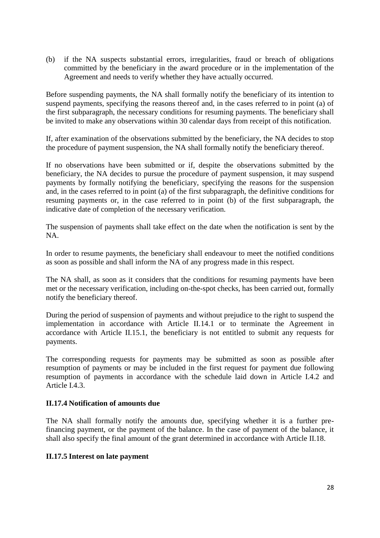(b) if the NA suspects substantial errors, irregularities, fraud or breach of obligations committed by the beneficiary in the award procedure or in the implementation of the Agreement and needs to verify whether they have actually occurred.

Before suspending payments, the NA shall formally notify the beneficiary of its intention to suspend payments, specifying the reasons thereof and, in the cases referred to in point (a) of the first subparagraph, the necessary conditions for resuming payments. The beneficiary shall be invited to make any observations within 30 calendar days from receipt of this notification.

If, after examination of the observations submitted by the beneficiary, the NA decides to stop the procedure of payment suspension, the NA shall formally notify the beneficiary thereof.

If no observations have been submitted or if, despite the observations submitted by the beneficiary, the NA decides to pursue the procedure of payment suspension, it may suspend payments by formally notifying the beneficiary, specifying the reasons for the suspension and, in the cases referred to in point (a) of the first subparagraph, the definitive conditions for resuming payments or, in the case referred to in point (b) of the first subparagraph, the indicative date of completion of the necessary verification.

The suspension of payments shall take effect on the date when the notification is sent by the NA.

In order to resume payments, the beneficiary shall endeavour to meet the notified conditions as soon as possible and shall inform the NA of any progress made in this respect.

The NA shall, as soon as it considers that the conditions for resuming payments have been met or the necessary verification, including on-the-spot checks, has been carried out, formally notify the beneficiary thereof.

During the period of suspension of payments and without prejudice to the right to suspend the implementation in accordance with Article II.14.1 or to terminate the Agreement in accordance with Article II.15.1, the beneficiary is not entitled to submit any requests for payments.

The corresponding requests for payments may be submitted as soon as possible after resumption of payments or may be included in the first request for payment due following resumption of payments in accordance with the schedule laid down in Article I.4.2 and Article I.4.3.

## **II.17.4 Notification of amounts due**

The NA shall formally notify the amounts due, specifying whether it is a further prefinancing payment, or the payment of the balance. In the case of payment of the balance, it shall also specify the final amount of the grant determined in accordance with Article II.18.

### **II.17.5 Interest on late payment**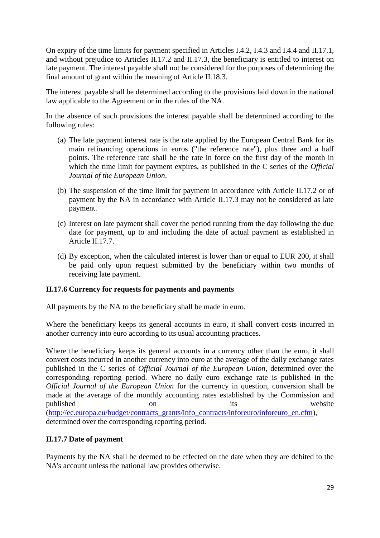On expiry of the time limits for payment specified in Articles I.4.2, I.4.3 and I.4.4 and II.17.1, and without prejudice to Articles II.17.2 and II.17.3, the beneficiary is entitled to interest on late payment. The interest payable shall not be considered for the purposes of determining the final amount of grant within the meaning of Article II.18.3.

The interest payable shall be determined according to the provisions laid down in the national law applicable to the Agreement or in the rules of the NA.

In the absence of such provisions the interest payable shall be determined according to the following rules:

- (a) The late payment interest rate is the rate applied by the European Central Bank for its main refinancing operations in euros ("the reference rate"), plus three and a half points. The reference rate shall be the rate in force on the first day of the month in which the time limit for payment expires, as published in the C series of the *Official Journal of the European Union*.
- (b) The suspension of the time limit for payment in accordance with Article II.17.2 or of payment by the NA in accordance with Article II.17.3 may not be considered as late payment.
- (c) Interest on late payment shall cover the period running from the day following the due date for payment, up to and including the date of actual payment as established in Article II.17.7.
- (d) By exception, when the calculated interest is lower than or equal to EUR 200, it shall be paid only upon request submitted by the beneficiary within two months of receiving late payment.

# **II.17.6 Currency for requests for payments and payments**

All payments by the NA to the beneficiary shall be made in euro.

Where the beneficiary keeps its general accounts in euro, it shall convert costs incurred in another currency into euro according to its usual accounting practices.

Where the beneficiary keeps its general accounts in a currency other than the euro, it shall convert costs incurred in another currency into euro at the average of the daily exchange rates published in the C series of *Official Journal of the European Union*, determined over the corresponding reporting period. Where no daily euro exchange rate is published in the *Official Journal of the European Union* for the currency in question, conversion shall be made at the average of the monthly accounting rates established by the Commission and published on on its website [\(http://ec.europa.eu/budget/contracts\\_grants/info\\_contracts/inforeuro/inforeuro\\_en.cfm\)](http://ec.europa.eu/budget/contracts_grants/info_contracts/inforeuro/inforeuro_en.cfm), determined over the corresponding reporting period.

# **II.17.7 Date of payment**

Payments by the NA shall be deemed to be effected on the date when they are debited to the NA's account unless the national law provides otherwise.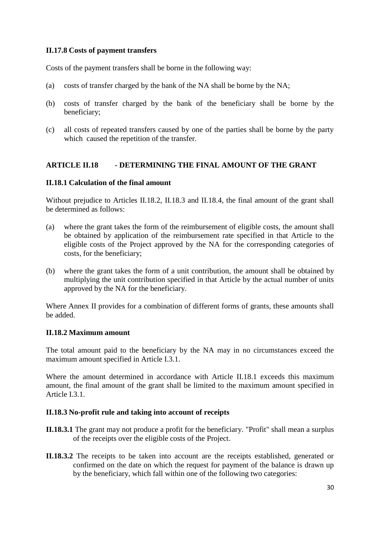## **II.17.8 Costs of payment transfers**

Costs of the payment transfers shall be borne in the following way:

- (a) costs of transfer charged by the bank of the NA shall be borne by the NA;
- (b) costs of transfer charged by the bank of the beneficiary shall be borne by the beneficiary;
- (c) all costs of repeated transfers caused by one of the parties shall be borne by the party which caused the repetition of the transfer.

## **ARTICLE II.18 - DETERMINING THE FINAL AMOUNT OF THE GRANT**

## **II.18.1 Calculation of the final amount**

Without prejudice to Articles II.18.2, II.18.3 and II.18.4, the final amount of the grant shall be determined as follows:

- (a) where the grant takes the form of the reimbursement of eligible costs, the amount shall be obtained by application of the reimbursement rate specified in that Article to the eligible costs of the Project approved by the NA for the corresponding categories of costs, for the beneficiary;
- (b) where the grant takes the form of a unit contribution, the amount shall be obtained by multiplying the unit contribution specified in that Article by the actual number of units approved by the NA for the beneficiary.

Where Annex II provides for a combination of different forms of grants, these amounts shall be added.

### **II.18.2 Maximum amount**

The total amount paid to the beneficiary by the NA may in no circumstances exceed the maximum amount specified in Article I.3.1.

Where the amount determined in accordance with Article II.18.1 exceeds this maximum amount, the final amount of the grant shall be limited to the maximum amount specified in Article I.3.1.

### **II.18.3 No-profit rule and taking into account of receipts**

- **II.18.3.1** The grant may not produce a profit for the beneficiary. "Profit" shall mean a surplus of the receipts over the eligible costs of the Project.
- **II.18.3.2** The receipts to be taken into account are the receipts established, generated or confirmed on the date on which the request for payment of the balance is drawn up by the beneficiary, which fall within one of the following two categories: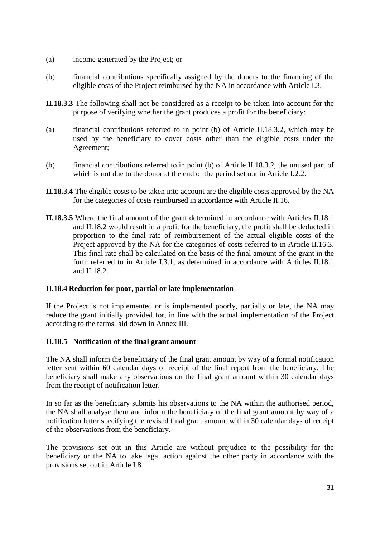- (a) income generated by the Project; or
- (b) financial contributions specifically assigned by the donors to the financing of the eligible costs of the Project reimbursed by the NA in accordance with Article I.3.
- **II.18.3.3** The following shall not be considered as a receipt to be taken into account for the purpose of verifying whether the grant produces a profit for the beneficiary:
- (a) financial contributions referred to in point (b) of Article II.18.3.2, which may be used by the beneficiary to cover costs other than the eligible costs under the Agreement;
- (b) financial contributions referred to in point (b) of Article II.18.3.2, the unused part of which is not due to the donor at the end of the period set out in Article I.2.2.
- **II.18.3.4** The eligible costs to be taken into account are the eligible costs approved by the NA for the categories of costs reimbursed in accordance with Article II.16.
- **II.18.3.5** Where the final amount of the grant determined in accordance with Articles II.18.1 and II.18.2 would result in a profit for the beneficiary, the profit shall be deducted in proportion to the final rate of reimbursement of the actual eligible costs of the Project approved by the NA for the categories of costs referred to in Article II.16.3. This final rate shall be calculated on the basis of the final amount of the grant in the form referred to in Article I.3.1, as determined in accordance with Articles II.18.1 and II.18.2.

### **II.18.4 Reduction for poor, partial or late implementation**

If the Project is not implemented or is implemented poorly, partially or late, the NA may reduce the grant initially provided for, in line with the actual implementation of the Project according to the terms laid down in Annex III.

### **II.18.5 Notification of the final grant amount**

The NA shall inform the beneficiary of the final grant amount by way of a formal notification letter sent within 60 calendar days of receipt of the final report from the beneficiary. The beneficiary shall make any observations on the final grant amount within 30 calendar days from the receipt of notification letter.

In so far as the beneficiary submits his observations to the NA within the authorised period, the NA shall analyse them and inform the beneficiary of the final grant amount by way of a notification letter specifying the revised final grant amount within 30 calendar days of receipt of the observations from the beneficiary.

The provisions set out in this Article are without prejudice to the possibility for the beneficiary or the NA to take legal action against the other party in accordance with the provisions set out in Article I.8.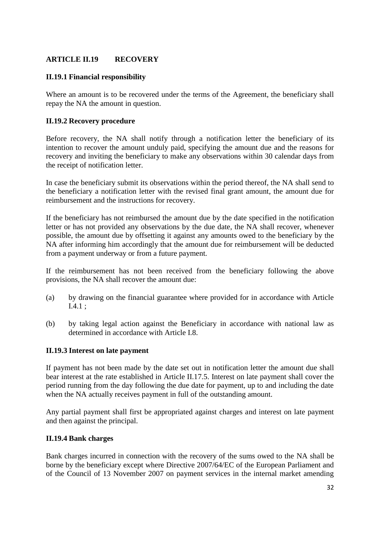# **ARTICLE II.19 RECOVERY**

# **II.19.1 Financial responsibility**

Where an amount is to be recovered under the terms of the Agreement, the beneficiary shall repay the NA the amount in question.

### **II.19.2 Recovery procedure**

Before recovery, the NA shall notify through a notification letter the beneficiary of its intention to recover the amount unduly paid, specifying the amount due and the reasons for recovery and inviting the beneficiary to make any observations within 30 calendar days from the receipt of notification letter.

In case the beneficiary submit its observations within the period thereof, the NA shall send to the beneficiary a notification letter with the revised final grant amount, the amount due for reimbursement and the instructions for recovery.

If the beneficiary has not reimbursed the amount due by the date specified in the notification letter or has not provided any observations by the due date, the NA shall recover, whenever possible, the amount due by offsetting it against any amounts owed to the beneficiary by the NA after informing him accordingly that the amount due for reimbursement will be deducted from a payment underway or from a future payment.

If the reimbursement has not been received from the beneficiary following the above provisions, the NA shall recover the amount due:

- (a) by drawing on the financial guarantee where provided for in accordance with Article I.4.1 ;
- (b) by taking legal action against the Beneficiary in accordance with national law as determined in accordance with Article I.8.

### **II.19.3 Interest on late payment**

If payment has not been made by the date set out in notification letter the amount due shall bear interest at the rate established in Article II.17.5. Interest on late payment shall cover the period running from the day following the due date for payment, up to and including the date when the NA actually receives payment in full of the outstanding amount.

Any partial payment shall first be appropriated against charges and interest on late payment and then against the principal.

### **II.19.4 Bank charges**

Bank charges incurred in connection with the recovery of the sums owed to the NA shall be borne by the beneficiary except where Directive 2007/64/EC of the European Parliament and of the Council of 13 November 2007 on payment services in the internal market amending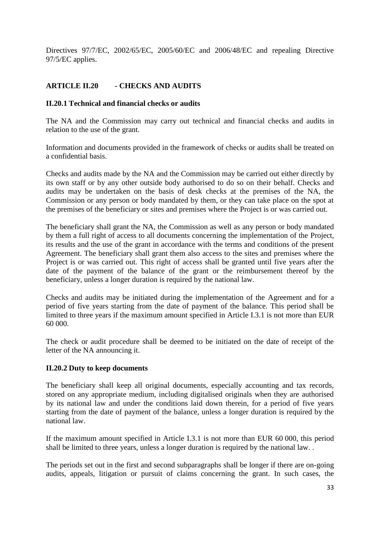Directives 97/7/EC, 2002/65/EC, 2005/60/EC and 2006/48/EC and repealing Directive 97/5/EC applies.

# **ARTICLE II.20 - CHECKS AND AUDITS**

### **II.20.1 Technical and financial checks or audits**

The NA and the Commission may carry out technical and financial checks and audits in relation to the use of the grant.

Information and documents provided in the framework of checks or audits shall be treated on a confidential basis.

Checks and audits made by the NA and the Commission may be carried out either directly by its own staff or by any other outside body authorised to do so on their behalf. Checks and audits may be undertaken on the basis of desk checks at the premises of the NA, the Commission or any person or body mandated by them, or they can take place on the spot at the premises of the beneficiary or sites and premises where the Project is or was carried out.

The beneficiary shall grant the NA, the Commission as well as any person or body mandated by them a full right of access to all documents concerning the implementation of the Project, its results and the use of the grant in accordance with the terms and conditions of the present Agreement. The beneficiary shall grant them also access to the sites and premises where the Project is or was carried out. This right of access shall be granted until five years after the date of the payment of the balance of the grant or the reimbursement thereof by the beneficiary, unless a longer duration is required by the national law.

Checks and audits may be initiated during the implementation of the Agreement and for a period of five years starting from the date of payment of the balance. This period shall be limited to three years if the maximum amount specified in Article I.3.1 is not more than EUR 60 000.

The check or audit procedure shall be deemed to be initiated on the date of receipt of the letter of the NA announcing it.

### **II.20.2 Duty to keep documents**

The beneficiary shall keep all original documents, especially accounting and tax records, stored on any appropriate medium, including digitalised originals when they are authorised by its national law and under the conditions laid down therein, for a period of five years starting from the date of payment of the balance, unless a longer duration is required by the national law.

If the maximum amount specified in Article I.3.1 is not more than EUR 60 000, this period shall be limited to three years, unless a longer duration is required by the national law. .

The periods set out in the first and second subparagraphs shall be longer if there are on-going audits, appeals, litigation or pursuit of claims concerning the grant. In such cases, the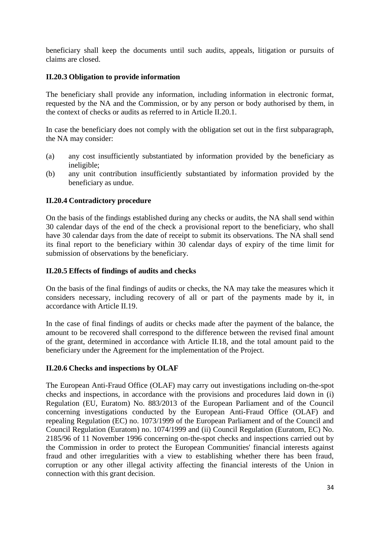beneficiary shall keep the documents until such audits, appeals, litigation or pursuits of claims are closed.

## **II.20.3 Obligation to provide information**

The beneficiary shall provide any information, including information in electronic format, requested by the NA and the Commission, or by any person or body authorised by them, in the context of checks or audits as referred to in Article II.20.1.

In case the beneficiary does not comply with the obligation set out in the first subparagraph, the NA may consider:

- (a) any cost insufficiently substantiated by information provided by the beneficiary as ineligible;
- (b) any unit contribution insufficiently substantiated by information provided by the beneficiary as undue.

## **II.20.4 Contradictory procedure**

On the basis of the findings established during any checks or audits, the NA shall send within 30 calendar days of the end of the check a provisional report to the beneficiary, who shall have 30 calendar days from the date of receipt to submit its observations. The NA shall send its final report to the beneficiary within 30 calendar days of expiry of the time limit for submission of observations by the beneficiary.

### **II.20.5 Effects of findings of audits and checks**

On the basis of the final findings of audits or checks, the NA may take the measures which it considers necessary, including recovery of all or part of the payments made by it, in accordance with Article II.19.

In the case of final findings of audits or checks made after the payment of the balance, the amount to be recovered shall correspond to the difference between the revised final amount of the grant, determined in accordance with Article II.18, and the total amount paid to the beneficiary under the Agreement for the implementation of the Project.

### **II.20.6 Checks and inspections by OLAF**

The European Anti-Fraud Office (OLAF) may carry out investigations including on-the-spot checks and inspections, in accordance with the provisions and procedures laid down in (i) Regulation (EU, Euratom) No. 883/2013 of the European Parliament and of the Council concerning investigations conducted by the European Anti-Fraud Office (OLAF) and repealing Regulation (EC) no. 1073/1999 of the European Parliament and of the Council and Council Regulation (Euratom) no. 1074/1999 and (ii) Council Regulation (Euratom, EC) No. 2185/96 of 11 November 1996 concerning on-the-spot checks and inspections carried out by the Commission in order to protect the European Communities' financial interests against fraud and other irregularities with a view to establishing whether there has been fraud, corruption or any other illegal activity affecting the financial interests of the Union in connection with this grant decision.